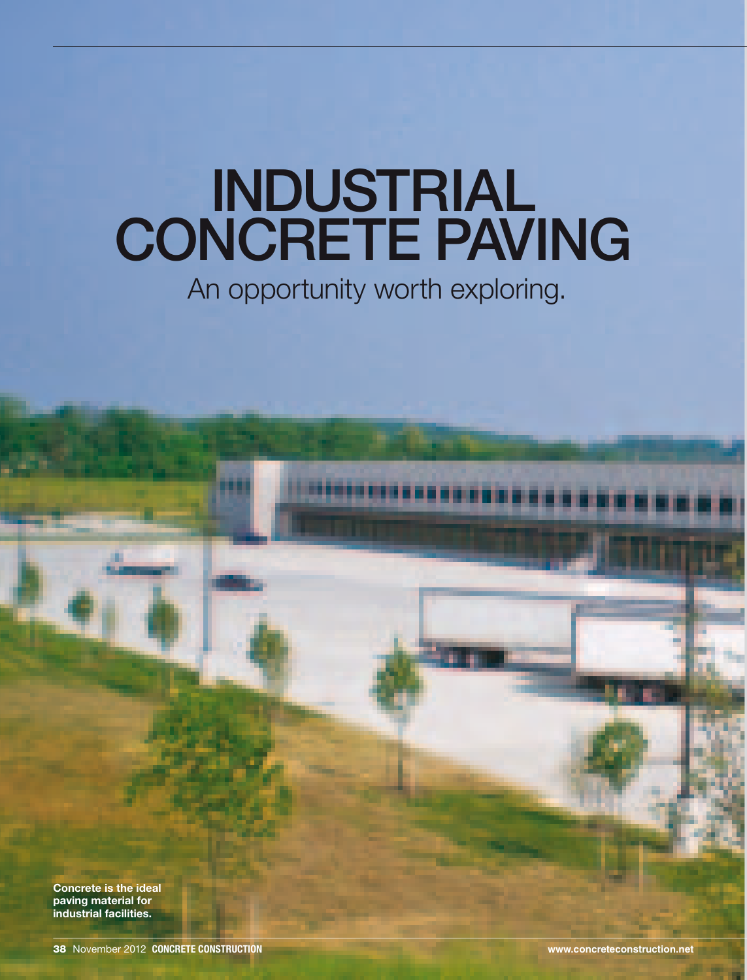# **INDUSTRIAL** CONCRETE PAVING

An opportunity worth exploring.

Concrete is the ideal paving material for industrial facilities.

38 November 2012 COncrete Construction **www.concreteconstruction.net**

ш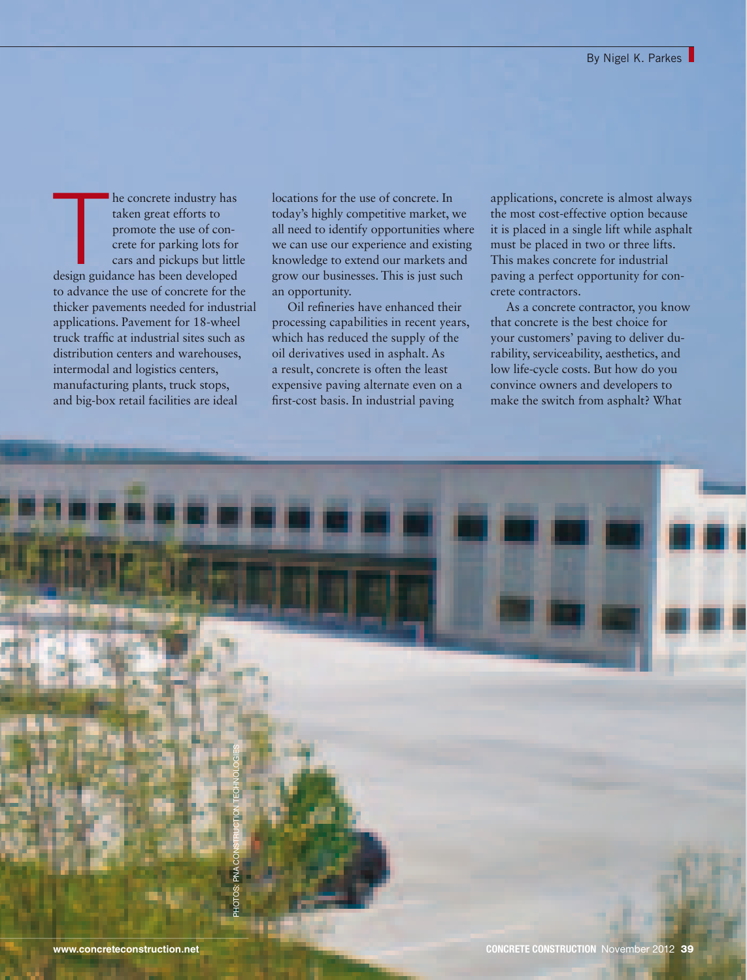The concrete industry has<br>taken great efforts to<br>promote the use of con-<br>crete for parking lots for<br>cars and pickups but little<br>design guidance has been developed he concrete industry has taken great efforts to promote the use of concrete for parking lots for cars and pickups but little to advance the use of concrete for the thicker pavements needed for industrial applications. Pavement for 18-wheel truck traffic at industrial sites such as distribution centers and warehouses, intermodal and logistics centers, manufacturing plants, truck stops, and big-box retail facilities are ideal

locations for the use of concrete. In today's highly competitive market, we all need to identify opportunities where we can use our experience and existing knowledge to extend our markets and grow our businesses. This is just such an opportunity.

Oil refineries have enhanced their processing capabilities in recent years, which has reduced the supply of the oil derivatives used in asphalt. As a result, concrete is often the least expensive paving alternate even on a first-cost basis. In industrial paving

applications, concrete is almost always the most cost-effective option because it is placed in a single lift while asphalt must be placed in two or three lifts. This makes concrete for industrial paving a perfect opportunity for concrete contractors.

As a concrete contractor, you know that concrete is the best choice for your customers' paving to deliver durability, serviceability, aesthetics, and low life-cycle costs. But how do you convince owners and developers to make the switch from asphalt? What

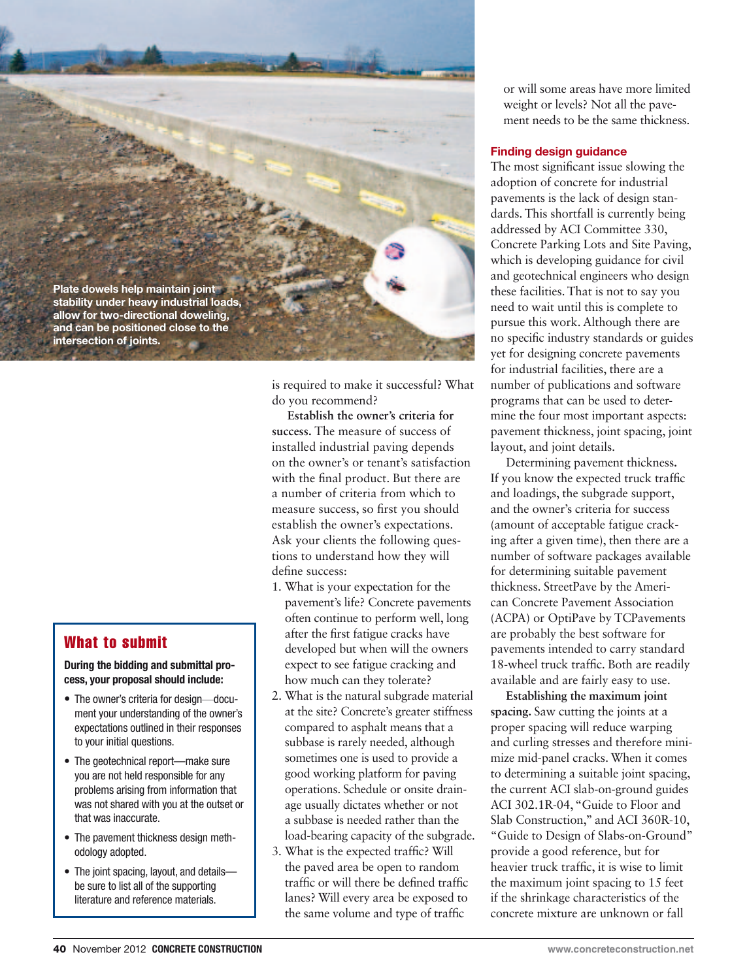

is required to make it successful? What do you recommend?

**Establish the owner's criteria for success.** The measure of success of installed industrial paving depends on the owner's or tenant's satisfaction with the final product. But there are a number of criteria from which to measure success, so first you should establish the owner's expectations. Ask your clients the following questions to understand how they will define success:

- 1. What is your expectation for the pavement's life? Concrete pavements often continue to perform well, long after the first fatigue cracks have developed but when will the owners expect to see fatigue cracking and how much can they tolerate?
- 2. What is the natural subgrade material at the site? Concrete's greater stiffness compared to asphalt means that a subbase is rarely needed, although sometimes one is used to provide a good working platform for paving operations. Schedule or onsite drainage usually dictates whether or not a subbase is needed rather than the load-bearing capacity of the subgrade.
- 3. What is the expected traffic? Will the paved area be open to random traffic or will there be defined traffic lanes? Will every area be exposed to the same volume and type of traffic

or will some areas have more limited weight or levels? Not all the pavement needs to be the same thickness.

#### Finding design guidance

The most significant issue slowing the adoption of concrete for industrial pavements is the lack of design standards. This shortfall is currently being addressed by ACI Committee 330, Concrete Parking Lots and Site Paving, which is developing guidance for civil and geotechnical engineers who design these facilities. That is not to say you need to wait until this is complete to pursue this work. Although there are no specific industry standards or guides yet for designing concrete pavements for industrial facilities, there are a number of publications and software programs that can be used to determine the four most important aspects: pavement thickness, joint spacing, joint layout, and joint details.

Determining pavement thickness**.** If you know the expected truck traffic and loadings, the subgrade support, and the owner's criteria for success (amount of acceptable fatigue cracking after a given time), then there are a number of software packages available for determining suitable pavement thickness. StreetPave by the American Concrete Pavement Association (ACPA) or OptiPave by TCPavements are probably the best software for pavements intended to carry standard 18-wheel truck traffic. Both are readily available and are fairly easy to use.

**Establishing the maximum joint spacing.** Saw cutting the joints at a proper spacing will reduce warping and curling stresses and therefore minimize mid-panel cracks. When it comes to determining a suitable joint spacing, the current ACI slab-on-ground guides ACI 302.1R-04, "Guide to Floor and Slab Construction," and ACI 360R-10, "Guide to Design of Slabs-on-Ground" provide a good reference, but for heavier truck traffic, it is wise to limit the maximum joint spacing to 15 feet if the shrinkage characteristics of the concrete mixture are unknown or fall

# What to submit

### During the bidding and submittal process, your proposal should include:

- The owner's criteria for design-document your understanding of the owner's expectations outlined in their responses to your initial questions.
- The geotechnical report—make sure you are not held responsible for any problems arising from information that was not shared with you at the outset or that was inaccurate.
- The pavement thickness design methodology adopted.
- The joint spacing, layout, and detailsbe sure to list all of the supporting literature and reference materials.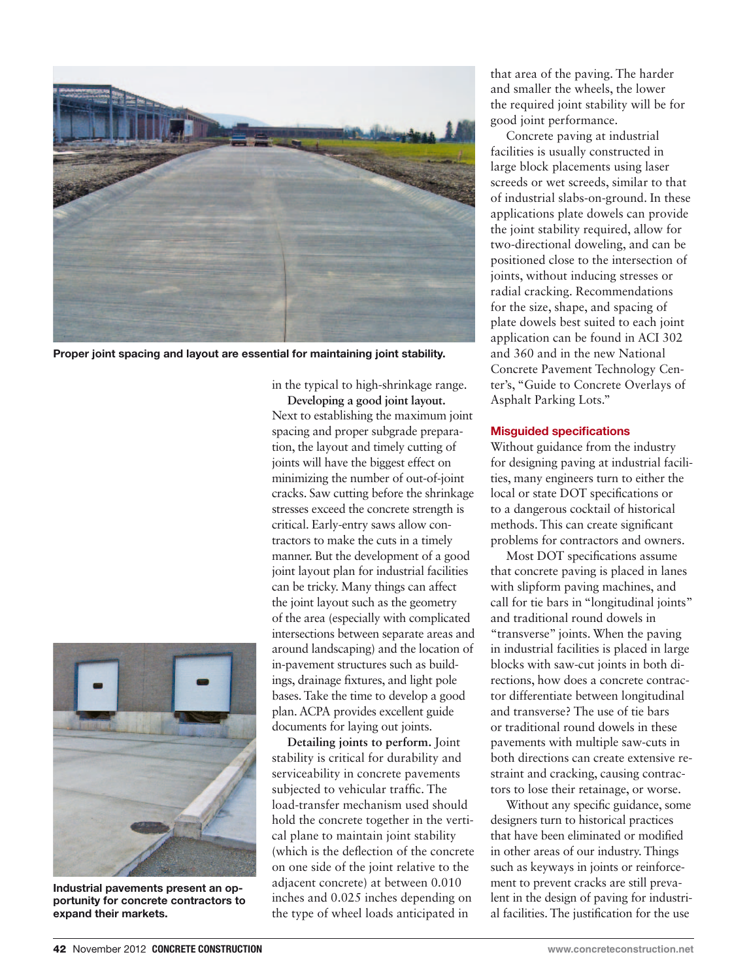

Proper joint spacing and layout are essential for maintaining joint stability.

in the typical to high-shrinkage range.

**Developing a good joint layout.** Next to establishing the maximum joint spacing and proper subgrade preparation, the layout and timely cutting of joints will have the biggest effect on minimizing the number of out-of-joint cracks. Saw cutting before the shrinkage stresses exceed the concrete strength is critical. Early-entry saws allow contractors to make the cuts in a timely manner. But the development of a good joint layout plan for industrial facilities can be tricky. Many things can affect the joint layout such as the geometry of the area (especially with complicated intersections between separate areas and around landscaping) and the location of in-pavement structures such as buildings, drainage fixtures, and light pole bases. Take the time to develop a good plan. ACPA provides excellent guide documents for laying out joints.

**Detailing joints to perform.** Joint stability is critical for durability and serviceability in concrete pavements subjected to vehicular traffic. The load-transfer mechanism used should hold the concrete together in the vertical plane to maintain joint stability (which is the deflection of the concrete on one side of the joint relative to the adjacent concrete) at between 0.010 inches and 0.025 inches depending on the type of wheel loads anticipated in

that area of the paving. The harder and smaller the wheels, the lower the required joint stability will be for good joint performance.

Concrete paving at industrial facilities is usually constructed in large block placements using laser screeds or wet screeds, similar to that of industrial slabs-on-ground. In these applications plate dowels can provide the joint stability required, allow for two-directional doweling, and can be positioned close to the intersection of joints, without inducing stresses or radial cracking. Recommendations for the size, shape, and spacing of plate dowels best suited to each joint application can be found in ACI 302 and 360 and in the new National Concrete Pavement Technology Center's, "Guide to Concrete Overlays of Asphalt Parking Lots."

## Misguided specifications

Without guidance from the industry for designing paving at industrial facilities, many engineers turn to either the local or state DOT specifications or to a dangerous cocktail of historical methods. This can create significant problems for contractors and owners.

Most DOT specifications assume that concrete paving is placed in lanes with slipform paving machines, and call for tie bars in "longitudinal joints" and traditional round dowels in "transverse" joints. When the paving in industrial facilities is placed in large blocks with saw-cut joints in both directions, how does a concrete contractor differentiate between longitudinal and transverse? The use of tie bars or traditional round dowels in these pavements with multiple saw-cuts in both directions can create extensive restraint and cracking, causing contractors to lose their retainage, or worse.

Without any specific guidance, some designers turn to historical practices that have been eliminated or modified in other areas of our industry. Things such as keyways in joints or reinforcement to prevent cracks are still prevalent in the design of paving for industrial facilities. The justification for the use



Industrial pavements present an opportunity for concrete contractors to expand their markets.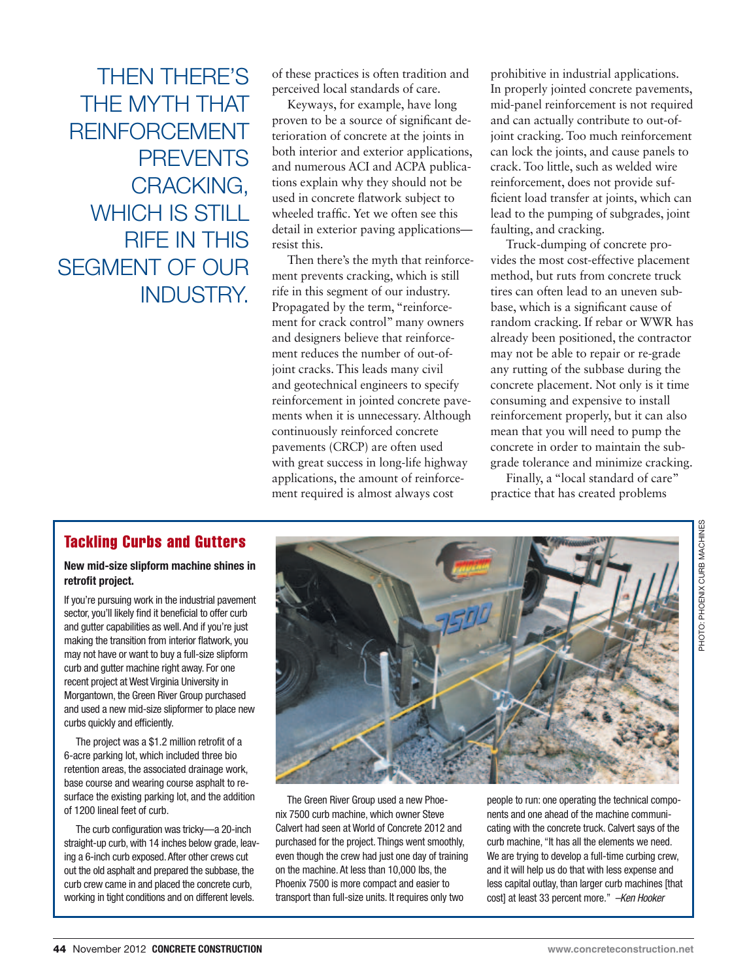Then there's the myth that reinforcement **PREVENTS** cracking, WHICH IS STILL **RIFF IN THIS** segment of our INDUSTRY

of these practices is often tradition and perceived local standards of care.

Keyways, for example, have long proven to be a source of significant deterioration of concrete at the joints in both interior and exterior applications, and numerous ACI and ACPA publications explain why they should not be used in concrete flatwork subject to wheeled traffic. Yet we often see this detail in exterior paving applications resist this.

Then there's the myth that reinforcement prevents cracking, which is still rife in this segment of our industry. Propagated by the term, "reinforcement for crack control" many owners and designers believe that reinforcement reduces the number of out-ofjoint cracks. This leads many civil and geotechnical engineers to specify reinforcement in jointed concrete pavements when it is unnecessary. Although continuously reinforced concrete pavements (CRCP) are often used with great success in long-life highway applications, the amount of reinforcement required is almost always cost

prohibitive in industrial applications. In properly jointed concrete pavements, mid-panel reinforcement is not required and can actually contribute to out-ofjoint cracking. Too much reinforcement can lock the joints, and cause panels to crack. Too little, such as welded wire reinforcement, does not provide sufficient load transfer at joints, which can lead to the pumping of subgrades, joint faulting, and cracking.

Truck-dumping of concrete provides the most cost-effective placement method, but ruts from concrete truck tires can often lead to an uneven subbase, which is a significant cause of random cracking. If rebar or WWR has already been positioned, the contractor may not be able to repair or re-grade any rutting of the subbase during the concrete placement. Not only is it time consuming and expensive to install reinforcement properly, but it can also mean that you will need to pump the concrete in order to maintain the subgrade tolerance and minimize cracking.

Finally, a "local standard of care" practice that has created problems

# Tackling Curbs and Gutters

### New mid-size slipform machine shines in retrofit project.

If you're pursuing work in the industrial pavement sector, you'll likely find it beneficial to offer curb and gutter capabilities as well. And if you're just making the transition from interior flatwork, you may not have or want to buy a full-size slipform curb and gutter machine right away. For one recent project at West Virginia University in Morgantown, the Green River Group purchased and used a new mid-size slipformer to place new curbs quickly and efficiently.

The project was a \$1.2 million retrofit of a 6-acre parking lot, which included three bio retention areas, the associated drainage work, base course and wearing course asphalt to resurface the existing parking lot, and the addition of 1200 lineal feet of curb.

The curb configuration was tricky—a 20-inch straight-up curb, with 14 inches below grade, leaving a 6-inch curb exposed. After other crews cut out the old asphalt and prepared the subbase, the curb crew came in and placed the concrete curb, working in tight conditions and on different levels.



The Green River Group used a new Phoenix 7500 curb machine, which owner Steve Calvert had seen at World of Concrete 2012 and purchased for the project. Things went smoothly, even though the crew had just one day of training on the machine. At less than 10,000 lbs, the Phoenix 7500 is more compact and easier to transport than full-size units. It requires only two

people to run: one operating the technical components and one ahead of the machine communicating with the concrete truck. Calvert says of the curb machine, "It has all the elements we need. We are trying to develop a full-time curbing crew, and it will help us do that with less expense and less capital outlay, than larger curb machines [that cost] at least 33 percent more." *–Ken Hooker*